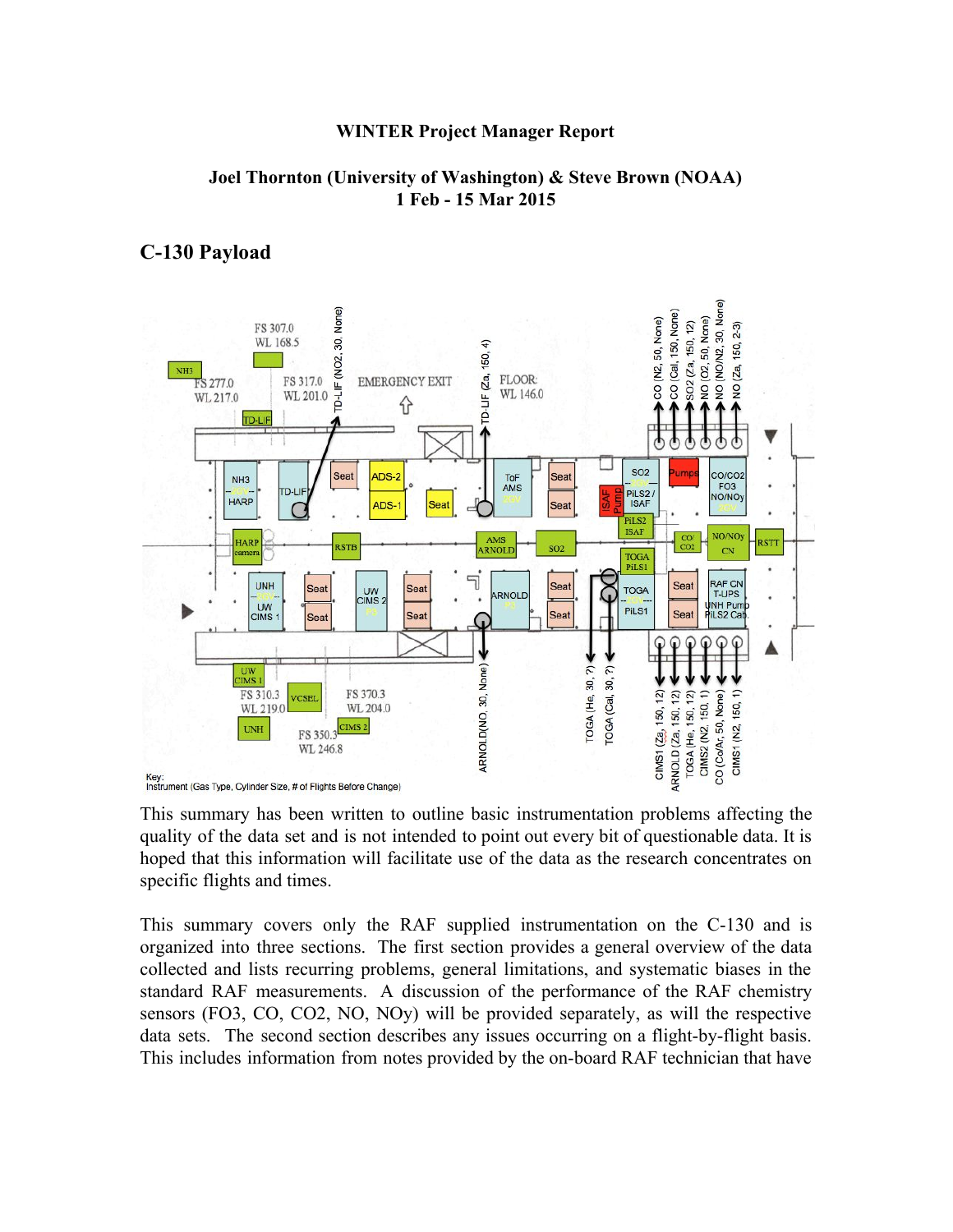#### **WINTER Project Manager Report**

#### **Joel Thornton (University of Washington) & Steve Brown (NOAA) 1 Feb 15 Mar 2015**

### **C130 Payload**



This summary has been written to outline basic instrumentation problems affecting the quality of the data set and is not intended to point out every bit of questionable data. It is hoped that this information will facilitate use of the data as the research concentrates on specific flights and times.

This summary covers only the RAF supplied instrumentation on the C130 and is organized into three sections. The first section provides a general overview of the data collected and lists recurring problems, general limitations, and systematic biases in the standard RAF measurements. A discussion of the performance of the RAF chemistry sensors (FO3, CO, CO2, NO, NOy) will be provided separately, as will the respective data sets. The second section describes any issues occurring on a flight-by-flight basis. This includes information from notes provided by the on-board RAF technician that have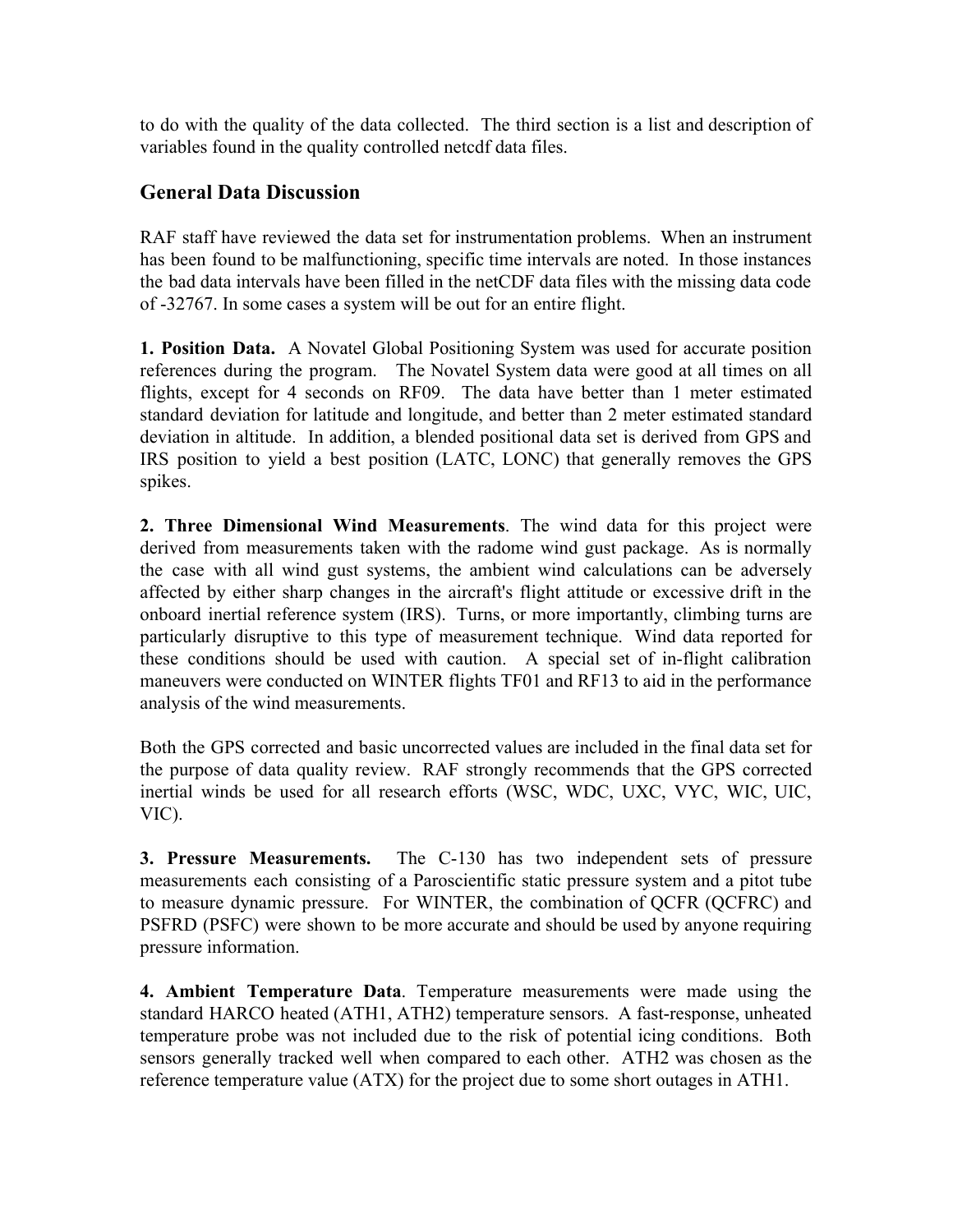to do with the quality of the data collected. The third section is a list and description of variables found in the quality controlled netcdf data files.

# **General Data Discussion**

RAF staff have reviewed the data set for instrumentation problems. When an instrument has been found to be malfunctioning, specific time intervals are noted. In those instances the bad data intervals have been filled in the netCDF data files with the missing data code of 32767. In some cases a system will be out for an entire flight.

**1. Position Data.** A Novatel Global Positioning System was used for accurate position references during the program. The Novatel System data were good at all times on all flights, except for 4 seconds on RF09. The data have better than 1 meter estimated standard deviation for latitude and longitude, and better than 2 meter estimated standard deviation in altitude. In addition, a blended positional data set is derived from GPS and IRS position to yield a best position (LATC, LONC) that generally removes the GPS spikes.

**2. Three Dimensional Wind Measurements**. The wind data for this project were derived from measurements taken with the radome wind gust package. As is normally the case with all wind gust systems, the ambient wind calculations can be adversely affected by either sharp changes in the aircraft's flight attitude or excessive drift in the onboard inertial reference system (IRS). Turns, or more importantly, climbing turns are particularly disruptive to this type of measurement technique. Wind data reported for these conditions should be used with caution. A special set of in-flight calibration maneuvers were conducted on WINTER flights TF01 and RF13 to aid in the performance analysis of the wind measurements.

Both the GPS corrected and basic uncorrected values are included in the final data set for the purpose of data quality review. RAF strongly recommends that the GPS corrected inertial winds be used for all research efforts (WSC, WDC, UXC, VYC, WIC, UIC, VIC).

**3. Pressure Measurements.** The C-130 has two independent sets of pressure measurements each consisting of a Paroscientific static pressure system and a pitot tube to measure dynamic pressure. For WINTER, the combination of QCFR (QCFRC) and PSFRD (PSFC) were shown to be more accurate and should be used by anyone requiring pressure information.

**4. Ambient Temperature Data**. Temperature measurements were made using the standard HARCO heated (ATH1, ATH2) temperature sensors. A fast-response, unheated temperature probe was not included due to the risk of potential icing conditions. Both sensors generally tracked well when compared to each other. ATH2 was chosen as the reference temperature value (ATX) for the project due to some short outages in ATH1.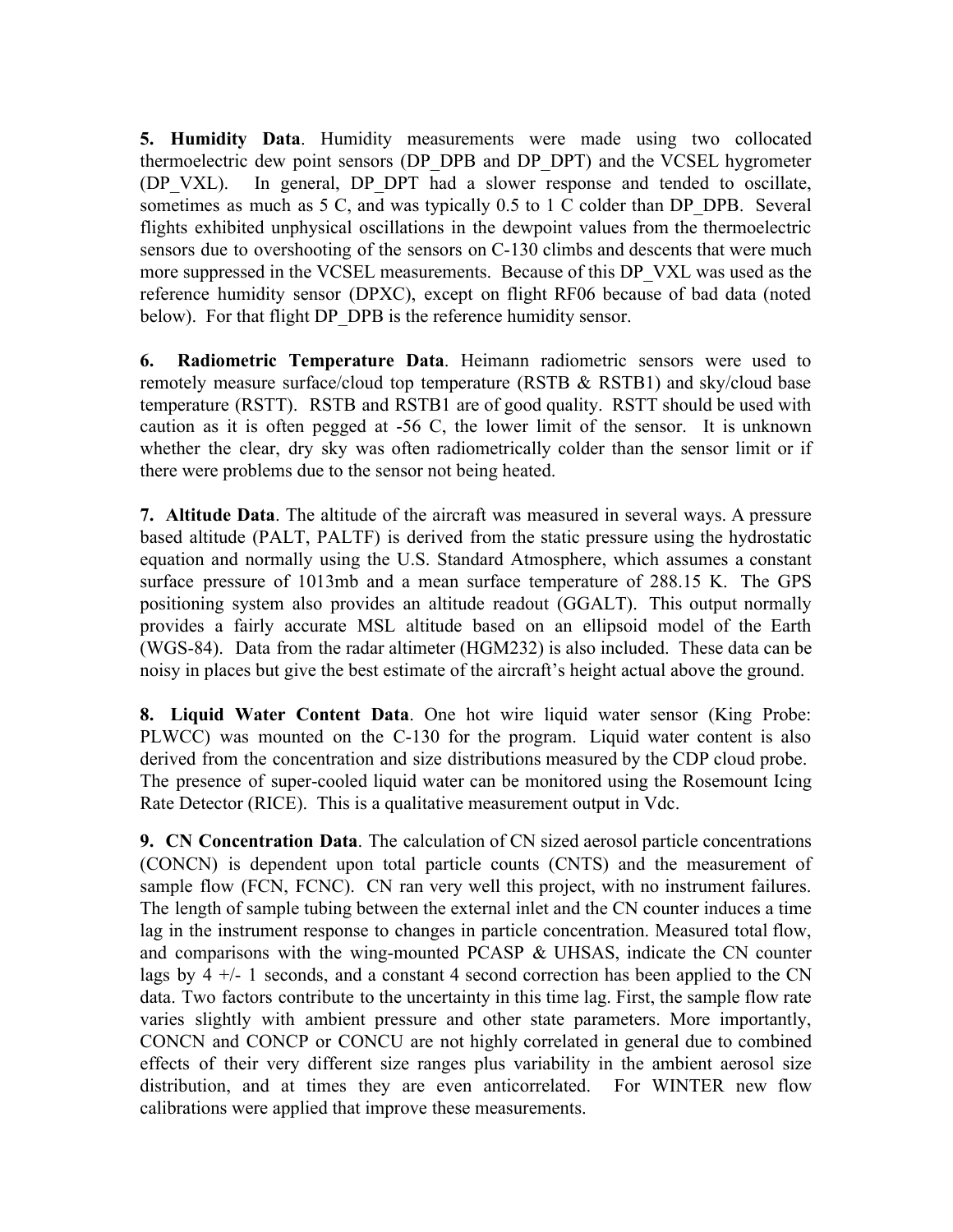**5. Humidity Data**. Humidity measurements were made using two collocated thermoelectric dew point sensors (DP\_DPB and DP\_DPT) and the VCSEL hygrometer (DP\_VXL). In general, DP\_DPT had a slower response and tended to oscillate, sometimes as much as 5 C, and was typically 0.5 to 1 C colder than DP\_DPB. Several flights exhibited unphysical oscillations in the dewpoint values from the thermoelectric sensors due to overshooting of the sensors on C-130 climbs and descents that were much more suppressed in the VCSEL measurements. Because of this DP\_VXL was used as the reference humidity sensor (DPXC), except on flight RF06 because of bad data (noted below). For that flight DP\_DPB is the reference humidity sensor.

**6. Radiometric Temperature Data**. Heimann radiometric sensors were used to remotely measure surface/cloud top temperature (RSTB & RSTB1) and sky/cloud base temperature (RSTT). RSTB and RSTB1 are of good quality. RSTT should be used with caution as it is often pegged at  $-56$  C, the lower limit of the sensor. It is unknown whether the clear, dry sky was often radiometrically colder than the sensor limit or if there were problems due to the sensor not being heated.

**7. Altitude Data**. The altitude of the aircraft was measured in several ways. A pressure based altitude (PALT, PALTF) is derived from the static pressure using the hydrostatic equation and normally using the U.S. Standard Atmosphere, which assumes a constant surface pressure of 1013mb and a mean surface temperature of 288.15 K. The GPS positioning system also provides an altitude readout (GGALT). This output normally provides a fairly accurate MSL altitude based on an ellipsoid model of the Earth (WGS-84). Data from the radar altimeter  $(HGM232)$  is also included. These data can be noisy in places but give the best estimate of the aircraft's height actual above the ground.

**8. Liquid Water Content Data**. One hot wire liquid water sensor (King Probe: PLWCC) was mounted on the C130 for the program. Liquid water content is also derived from the concentration and size distributions measured by the CDP cloud probe. The presence of super-cooled liquid water can be monitored using the Rosemount Icing Rate Detector (RICE). This is a qualitative measurement output in Vdc.

**9. CN Concentration Data**. The calculation of CN sized aerosol particle concentrations (CONCN) is dependent upon total particle counts (CNTS) and the measurement of sample flow (FCN, FCNC). CN ran very well this project, with no instrument failures. The length of sample tubing between the external inlet and the CN counter induces a time lag in the instrument response to changes in particle concentration. Measured total flow, and comparisons with the wing-mounted PCASP  $&$  UHSAS, indicate the CN counter lags by  $4 +/- 1$  seconds, and a constant 4 second correction has been applied to the CN data. Two factors contribute to the uncertainty in this time lag. First, the sample flow rate varies slightly with ambient pressure and other state parameters. More importantly, CONCN and CONCP or CONCU are not highly correlated in general due to combined effects of their very different size ranges plus variability in the ambient aerosol size distribution, and at times they are even anticorrelated. For WINTER new flow calibrations were applied that improve these measurements.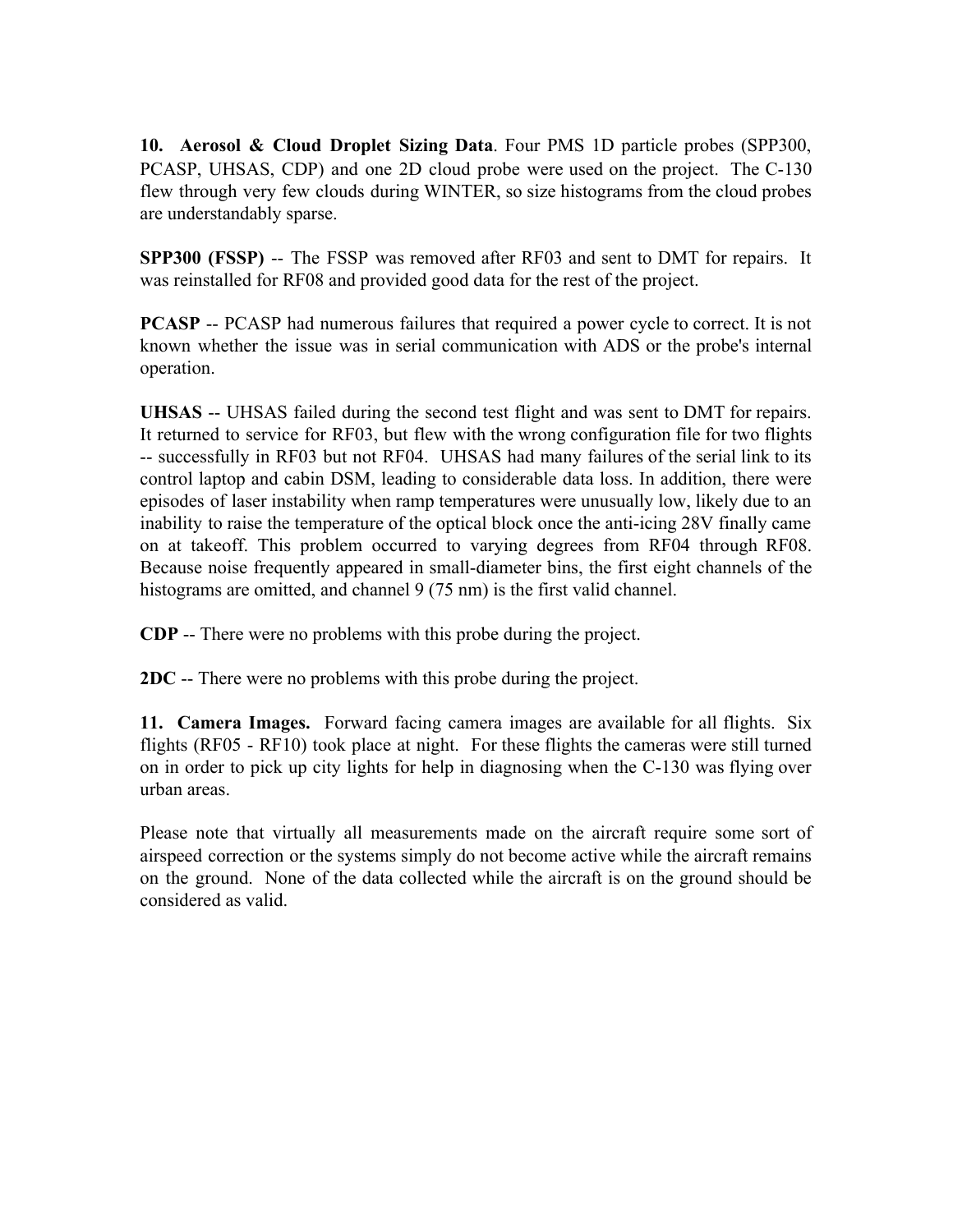**10. Aerosol & Cloud Droplet Sizing Data**. Four PMS 1D particle probes (SPP300, PCASP, UHSAS, CDP) and one 2D cloud probe were used on the project. The C130 flew through very few clouds during WINTER, so size histograms from the cloud probes are understandably sparse.

**SPP300** (FSSP) -- The FSSP was removed after RF03 and sent to DMT for repairs. It was reinstalled for RF08 and provided good data for the rest of the project.

**PCASP** -- PCASP had numerous failures that required a power cycle to correct. It is not known whether the issue was in serial communication with ADS or the probe's internal operation.

**UHSAS** -- UHSAS failed during the second test flight and was sent to DMT for repairs. It returned to service for RF03, but flew with the wrong configuration file for two flights successfully in RF03 but not RF04. UHSAS had many failures of the serial link to its control laptop and cabin DSM, leading to considerable data loss. In addition, there were episodes of laser instability when ramp temperatures were unusually low, likely due to an inability to raise the temperature of the optical block once the anti-icing 28V finally came on at takeoff. This problem occurred to varying degrees from RF04 through RF08. Because noise frequently appeared in small-diameter bins, the first eight channels of the histograms are omitted, and channel 9 (75 nm) is the first valid channel.

**CDP** -- There were no problems with this probe during the project.

**2DC** -- There were no problems with this probe during the project.

**11. Camera Images.** Forward facing camera images are available for all flights. Six flights (RF05 - RF10) took place at night. For these flights the cameras were still turned on in order to pick up city lights for help in diagnosing when the C130 was flying over urban areas.

Please note that virtually all measurements made on the aircraft require some sort of airspeed correction or the systems simply do not become active while the aircraft remains on the ground. None of the data collected while the aircraft is on the ground should be considered as valid.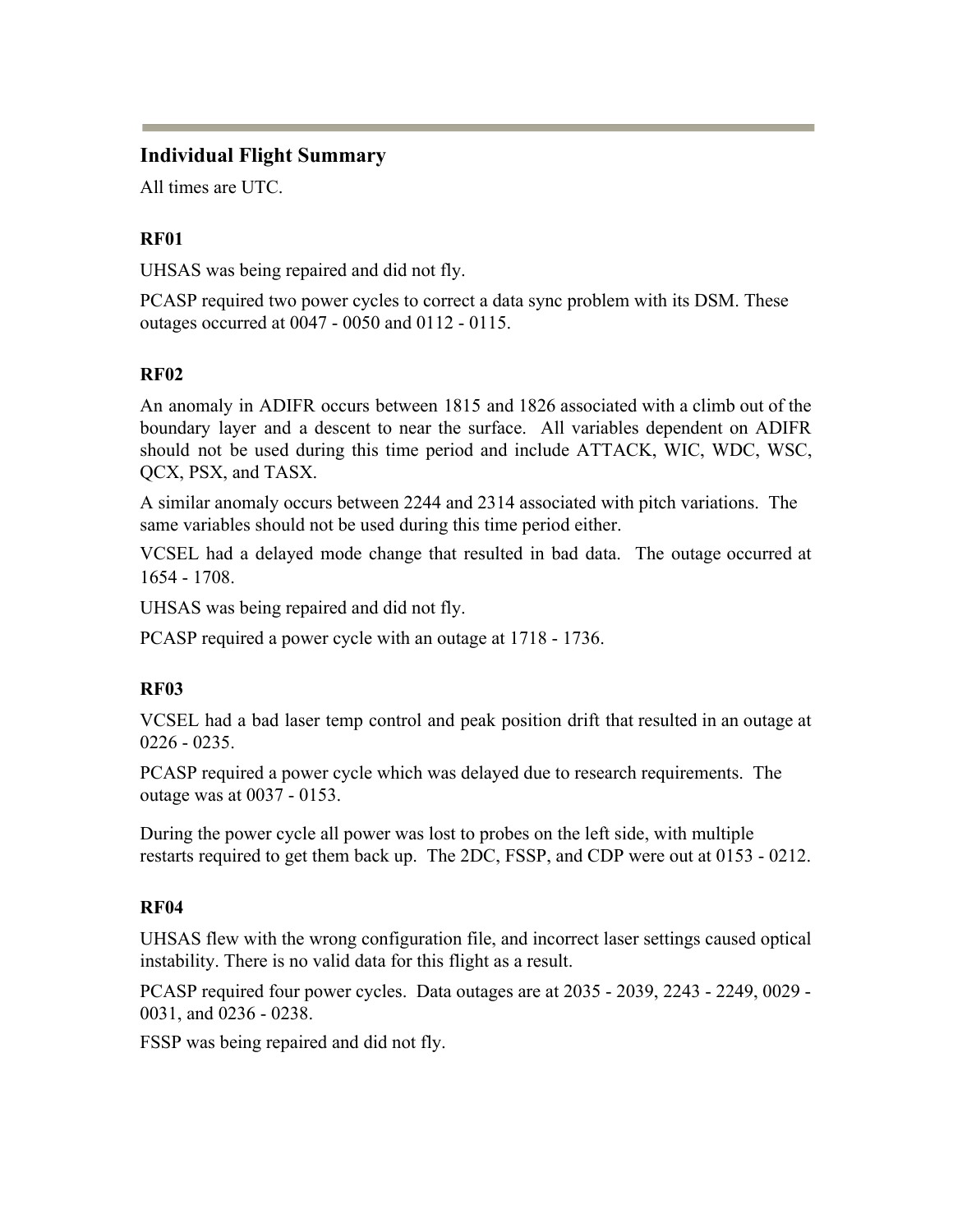# **Individual Flight Summary**

All times are UTC.

# **RF01**

UHSAS was being repaired and did not fly.

PCASP required two power cycles to correct a data sync problem with its DSM. These outages occurred at 0047 - 0050 and 0112 - 0115.

# **RF02**

An anomaly in ADIFR occurs between 1815 and 1826 associated with a climb out of the boundary layer and a descent to near the surface. All variables dependent on ADIFR should not be used during this time period and include ATTACK, WIC, WDC, WSC, QCX, PSX, and TASX.

A similar anomaly occurs between 2244 and 2314 associated with pitch variations. The same variables should not be used during this time period either.

VCSEL had a delayed mode change that resulted in bad data. The outage occurred at 1654 1708.

UHSAS was being repaired and did not fly.

PCASP required a power cycle with an outage at 1718 - 1736.

# **RF03**

VCSEL had a bad laser temp control and peak position drift that resulted in an outage at  $0226 - 0235$ .

PCASP required a power cycle which was delayed due to research requirements. The outage was at 0037 - 0153.

During the power cycle all power was lost to probes on the left side, with multiple restarts required to get them back up. The 2DC, FSSP, and CDP were out at 0153 - 0212.

# **RF04**

UHSAS flew with the wrong configuration file, and incorrect laser settings caused optical instability. There is no valid data for this flight as a result.

PCASP required four power cycles. Data outages are at 2035 - 2039, 2243 - 2249, 0029 -0031, and 0236 - 0238.

FSSP was being repaired and did not fly.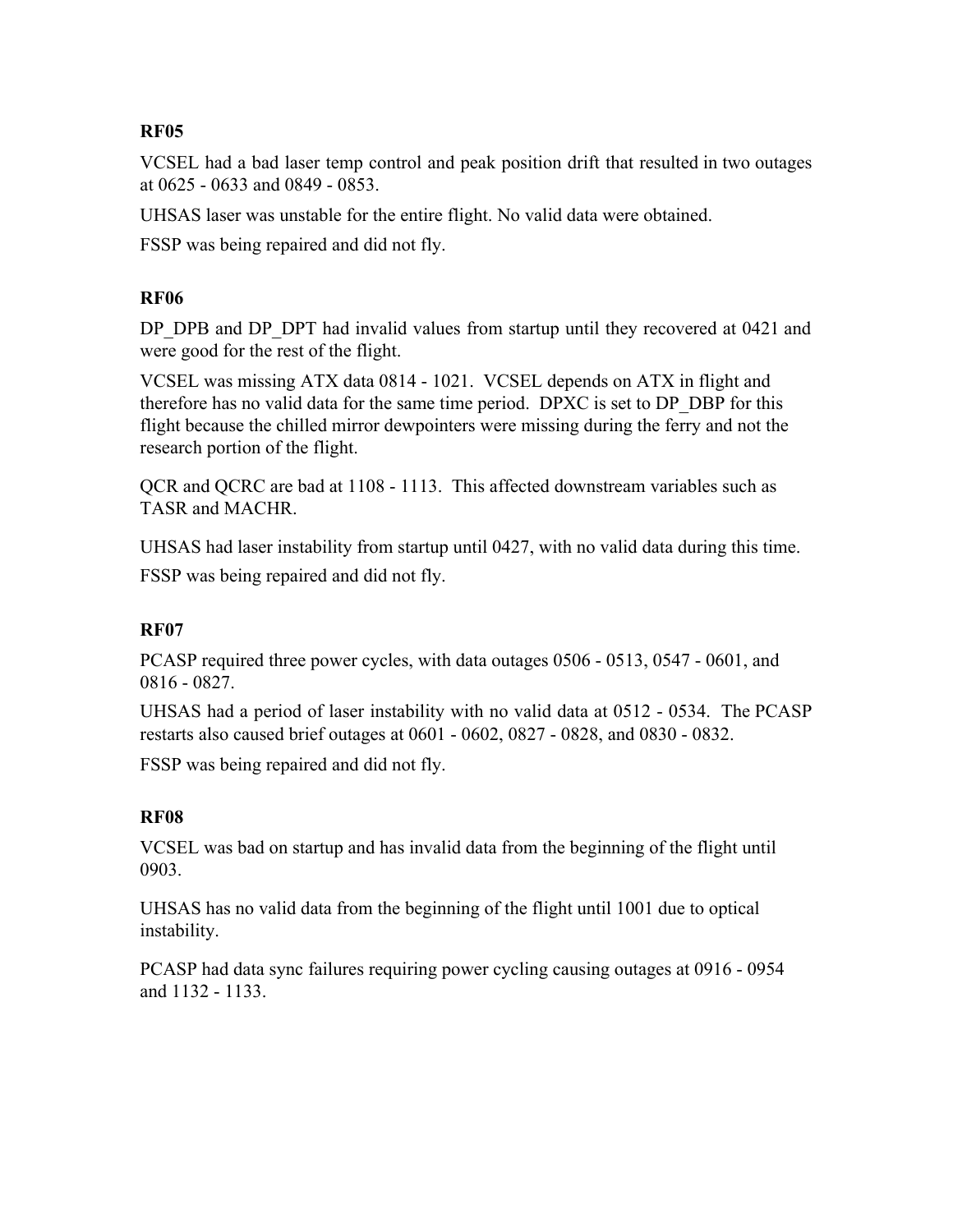### **RF05**

VCSEL had a bad laser temp control and peak position drift that resulted in two outages at  $0625 - 0633$  and  $0849 - 0853$ .

UHSAS laser was unstable for the entire flight. No valid data were obtained.

FSSP was being repaired and did not fly.

### **RF06**

DP\_DPB and DP\_DPT had invalid values from startup until they recovered at 0421 and were good for the rest of the flight.

VCSEL was missing ATX data 0814 1021. VCSEL depends on ATX in flight and therefore has no valid data for the same time period. DPXC is set to DP\_DBP for this flight because the chilled mirror dewpointers were missing during the ferry and not the research portion of the flight.

QCR and QCRC are bad at 1108 1113. This affected downstream variables such as TASR and MACHR.

UHSAS had laser instability from startup until 0427, with no valid data during this time. FSSP was being repaired and did not fly.

### **RF07**

PCASP required three power cycles, with data outages 0506 - 0513, 0547 - 0601, and 0816 0827.

UHSAS had a period of laser instability with no valid data at 0512 - 0534. The PCASP restarts also caused brief outages at 0601 - 0602, 0827 - 0828, and 0830 - 0832.

FSSP was being repaired and did not fly.

# **RF08**

VCSEL was bad on startup and has invalid data from the beginning of the flight until 0903.

UHSAS has no valid data from the beginning of the flight until 1001 due to optical instability.

PCASP had data sync failures requiring power cycling causing outages at 0916 - 0954 and 1132 - 1133.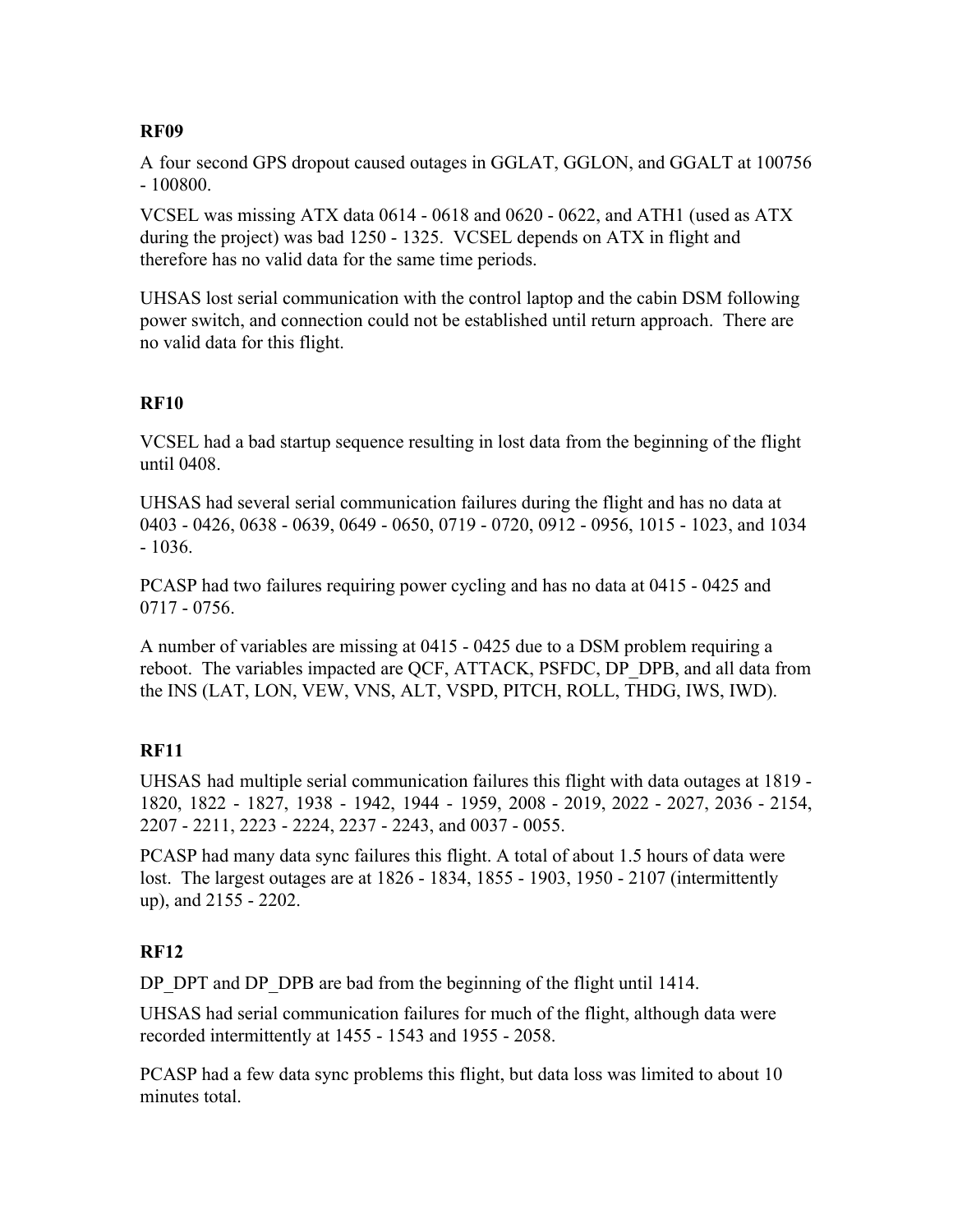### **RF09**

A four second GPS dropout caused outages in GGLAT, GGLON, and GGALT at 100756 100800.

VCSEL was missing ATX data  $0614 - 0618$  and  $0620 - 0622$ , and ATH1 (used as ATX during the project) was bad 1250 - 1325. VCSEL depends on ATX in flight and therefore has no valid data for the same time periods.

UHSAS lost serial communication with the control laptop and the cabin DSM following power switch, and connection could not be established until return approach. There are no valid data for this flight.

### **RF10**

VCSEL had a bad startup sequence resulting in lost data from the beginning of the flight until 0408.

UHSAS had several serial communication failures during the flight and has no data at 0403 - 0426, 0638 - 0639, 0649 - 0650, 0719 - 0720, 0912 - 0956, 1015 - 1023, and 1034  $-1036.$ 

PCASP had two failures requiring power cycling and has no data at 0415 - 0425 and 0717 0756.

A number of variables are missing at  $0415 - 0425$  due to a DSM problem requiring a reboot. The variables impacted are QCF, ATTACK, PSFDC, DP\_DPB, and all data from the INS (LAT, LON, VEW, VNS, ALT, VSPD, PITCH, ROLL, THDG, IWS, IWD).

### **RF11**

UHSAS had multiple serial communication failures this flight with data outages at 1819 1820, 1822 - 1827, 1938 - 1942, 1944 - 1959, 2008 - 2019, 2022 - 2027, 2036 - 2154, 2207 - 2211, 2223 - 2224, 2237 - 2243, and 0037 - 0055.

PCASP had many data sync failures this flight. A total of about 1.5 hours of data were lost. The largest outages are at 1826 - 1834, 1855 - 1903, 1950 - 2107 (intermittently up), and 2155 - 2202.

### **RF12**

DP\_DPT and DP\_DPB are bad from the beginning of the flight until 1414.

UHSAS had serial communication failures for much of the flight, although data were recorded intermittently at 1455 - 1543 and 1955 - 2058.

PCASP had a few data sync problems this flight, but data loss was limited to about 10 minutes total.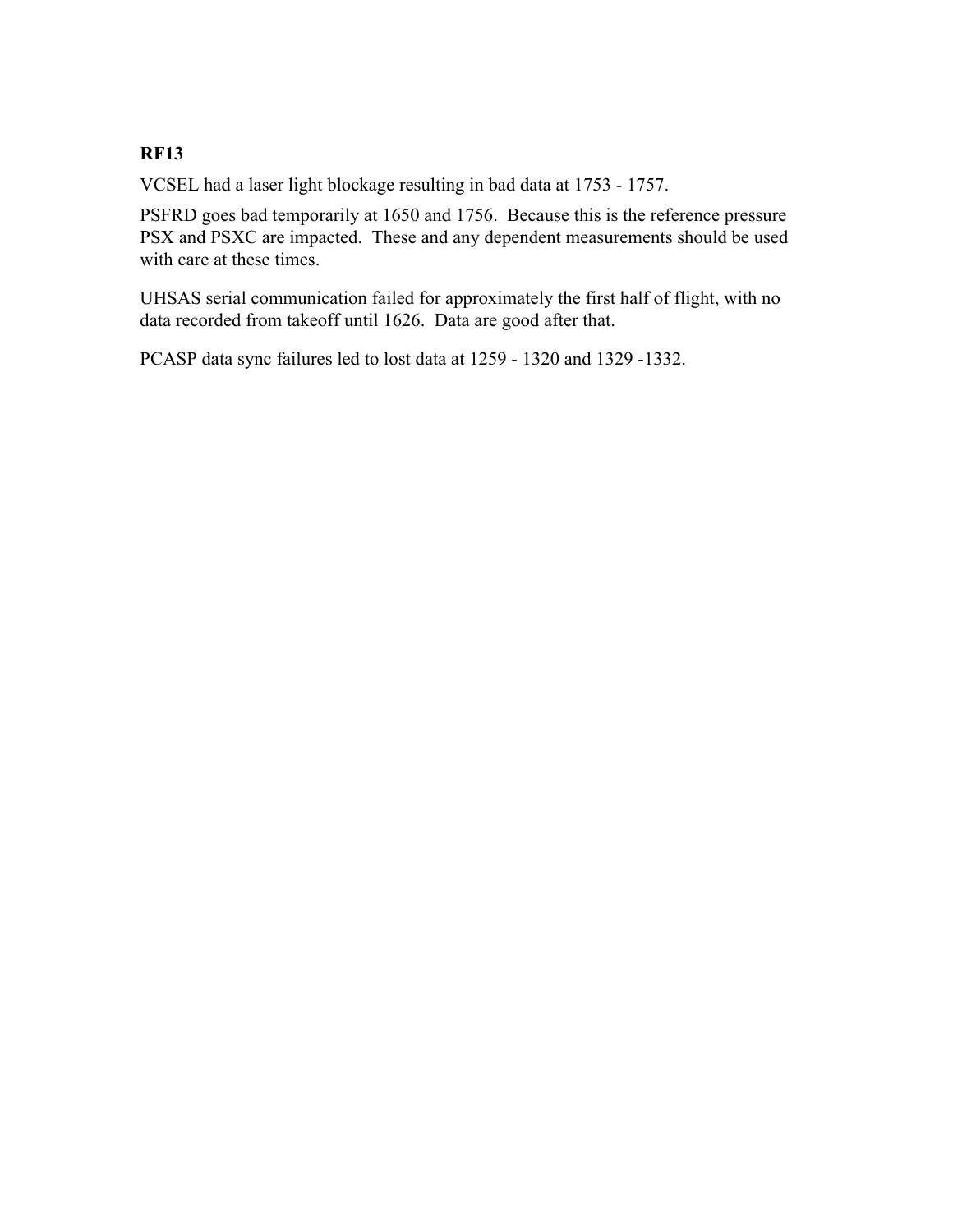# **RF13**

VCSEL had a laser light blockage resulting in bad data at 1753 - 1757.

PSFRD goes bad temporarily at 1650 and 1756. Because this is the reference pressure PSX and PSXC are impacted. These and any dependent measurements should be used with care at these times.

UHSAS serial communication failed for approximately the first half of flight, with no data recorded from takeoff until 1626. Data are good after that.

PCASP data sync failures led to lost data at 1259 - 1320 and 1329 - 1332.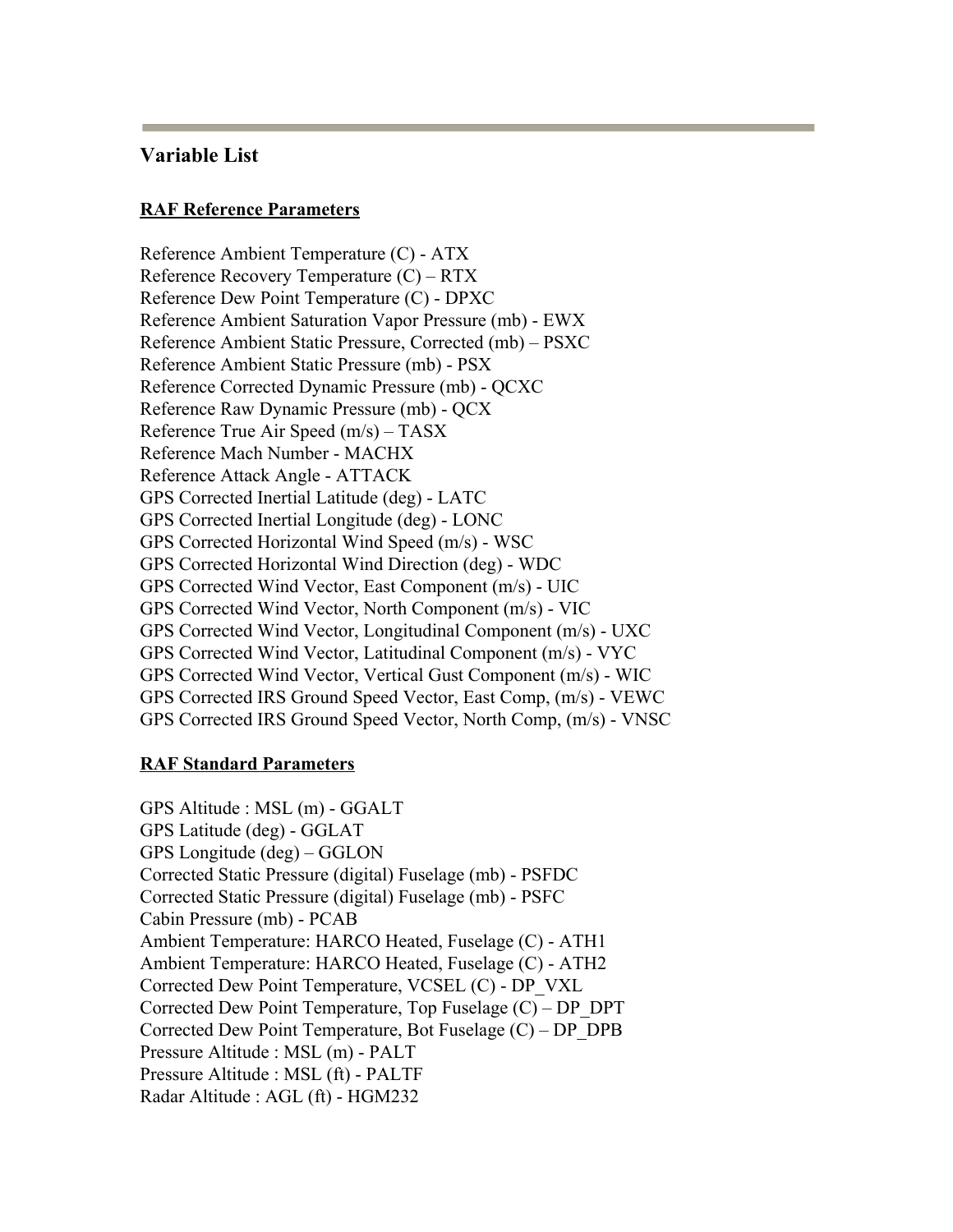### **Variable List**

#### **RAF Reference Parameters**

Reference Ambient Temperature (C) - ATX Reference Recovery Temperature (C) – RTX Reference Dew Point Temperature (C) - DPXC Reference Ambient Saturation Vapor Pressure (mb) EWX Reference Ambient Static Pressure, Corrected (mb) – PSXC Reference Ambient Static Pressure (mb) - PSX Reference Corrected Dynamic Pressure (mb) - QCXC Reference Raw Dynamic Pressure (mb) - QCX Reference True Air Speed (m/s) – TASX Reference Mach Number - MACHX Reference Attack Angle ATTACK GPS Corrected Inertial Latitude (deg) LATC GPS Corrected Inertial Longitude (deg) LONC GPS Corrected Horizontal Wind Speed (m/s) - WSC GPS Corrected Horizontal Wind Direction (deg) - WDC GPS Corrected Wind Vector, East Component (m/s) - UIC GPS Corrected Wind Vector, North Component (m/s) - VIC GPS Corrected Wind Vector, Longitudinal Component (m/s) - UXC GPS Corrected Wind Vector, Latitudinal Component (m/s) - VYC GPS Corrected Wind Vector, Vertical Gust Component (m/s) - WIC GPS Corrected IRS Ground Speed Vector, East Comp,  $(m/s)$  - VEWC GPS Corrected IRS Ground Speed Vector, North Comp,  $(m/s)$  - VNSC

#### **RAF Standard Parameters**

GPS Altitude : MSL (m) GGALT GPS Latitude (deg) - GGLAT GPS Longitude (deg) – GGLON Corrected Static Pressure (digital) Fuselage (mb) PSFDC Corrected Static Pressure (digital) Fuselage (mb) PSFC Cabin Pressure (mb) - PCAB Ambient Temperature: HARCO Heated, Fuselage (C) - ATH1 Ambient Temperature: HARCO Heated, Fuselage (C) - ATH2 Corrected Dew Point Temperature, VCSEL (C) - DP\_VXL Corrected Dew Point Temperature, Top Fuselage  $(C)$  – DP\_DPT Corrected Dew Point Temperature, Bot Fuselage  $(C)$  – DP\_DPB Pressure Altitude : MSL (m) - PALT Pressure Altitude : MSL (ft) - PALTF Radar Altitude : AGL (ft) - HGM232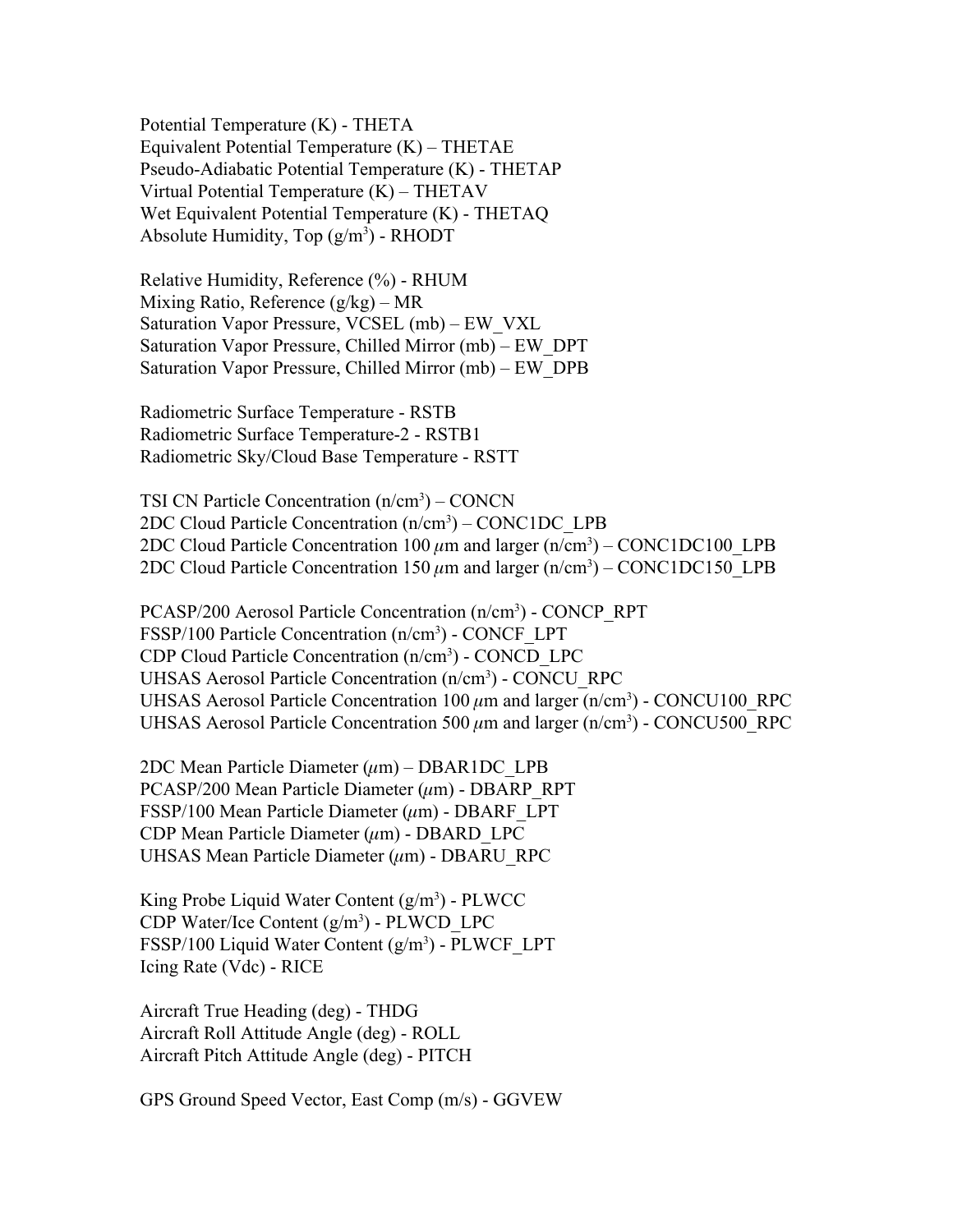Potential Temperature  $(K)$  - THETA Equivalent Potential Temperature (K) – THETAE Pseudo-Adiabatic Potential Temperature  $(K)$  - THETAP Virtual Potential Temperature (K) – THETAV Wet Equivalent Potential Temperature  $(K)$  - THETAQ Absolute Humidity,  $Top (g/m<sup>3</sup>)$  - RHODT

Relative Humidity, Reference (%) - RHUM Mixing Ratio, Reference (g/kg) – MR Saturation Vapor Pressure, VCSEL (mb) – EW\_VXL Saturation Vapor Pressure, Chilled Mirror (mb) – EW\_DPT Saturation Vapor Pressure, Chilled Mirror (mb) – EW\_DPB

Radiometric Surface Temperature - RSTB Radiometric Surface Temperature-2 - RSTB1 Radiometric Sky/Cloud Base Temperature - RSTT

TSI CN Particle Concentration  $(n/cm<sup>3</sup>)$  – CONCN 2DC Cloud Particle Concentration (n/cm<sup>3</sup>) – CONC1DC\_LPB 2DC Cloud Particle Concentration  $100 \mu m$  and larger  $(n/cm<sup>3</sup>) - CONC1DC100\_LPB$ 2DC Cloud Particle Concentration  $150 \mu m$  and larger  $(n/cm<sup>3</sup>) - CONC1DC150$ <sub>LPB</sub>

PCASP/200 Aerosol Particle Concentration (n/cm<sup>3</sup>) - CONCP\_RPT FSSP/100 Particle Concentration (n/cm<sup>3</sup>) - CONCF\_LPT CDP Cloud Particle Concentration (n/cm<sup>3</sup>) - CONCD\_LPC UHSAS Aerosol Particle Concentration (n/cm<sup>3</sup>) - CONCU\_RPC UHSAS Aerosol Particle Concentration  $100 \mu m$  and larger (n/cm<sup>3</sup>) - CONCU100\_RPC UHSAS Aerosol Particle Concentration 500  $\mu$ m and larger (n/cm<sup>3</sup>) - CONCU500\_RPC

2DC Mean Particle Diameter  $(\mu m)$  – DBAR1DC LPB  $PCASP/200$  Mean Particle Diameter ( $\mu$ m) - DBARP\_RPT FSSP/100 Mean Particle Diameter  $(\mu m)$  - DBARF\_LPT CDP Mean Particle Diameter  $(\mu m)$  - DBARD LPC UHSAS Mean Particle Diameter  $(\mu m)$  - DBARU RPC

King Probe Liquid Water Content  $(g/m<sup>3</sup>)$  - PLWCC CDP Water/Ice Content (g/m<sup>3</sup>) - PLWCD\_LPC FSSP/100 Liquid Water Content (g/m<sup>3</sup>) - PLWCF\_LPT Icing Rate (Vdc) - RICE

Aircraft True Heading (deg) - THDG Aircraft Roll Attitude Angle (deg) - ROLL Aircraft Pitch Attitude Angle (deg) PITCH

GPS Ground Speed Vector, East Comp (m/s) - GGVEW